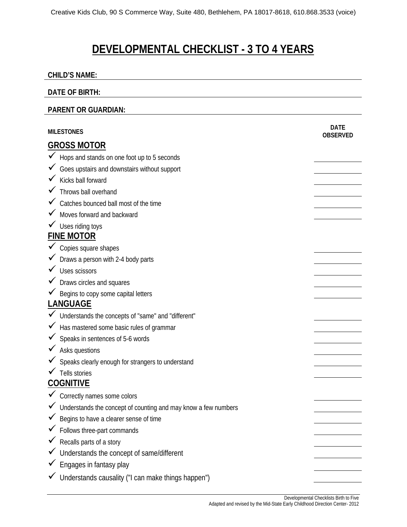# **DEVELOPMENTAL CHECKLIST - 3 TO 4 YEARS**

### **CHILD'S NAME:**

## **DATE OF BIRTH:**

#### **PARENT OR GUARDIAN:**

| <b>MILESTONES</b>                                              | <b>DATE</b><br><b>OBSERVED</b> |
|----------------------------------------------------------------|--------------------------------|
| <b>GROSS MOTOR</b>                                             |                                |
| $\checkmark$ Hops and stands on one foot up to 5 seconds       |                                |
| Goes upstairs and downstairs without support                   |                                |
| Kicks ball forward                                             |                                |
| $\checkmark$ Throws ball overhand                              |                                |
| Catches bounced ball most of the time                          |                                |
| Moves forward and backward                                     |                                |
| V Uses riding toys                                             |                                |
| <b>FINE MOTOR</b>                                              |                                |
| $\checkmark$ Copies square shapes                              |                                |
| ◆ Draws a person with 2-4 body parts                           |                                |
| $\checkmark$ Uses scissors                                     |                                |
| ✔ Draws circles and squares                                    |                                |
| Begins to copy some capital letters                            |                                |
| <b>LANGUAGE</b>                                                |                                |
| Understands the concepts of "same" and "different"             |                                |
| Has mastered some basic rules of grammar                       |                                |
| Speaks in sentences of 5-6 words                               |                                |
| $\checkmark$ Asks questions                                    |                                |
| Speaks clearly enough for strangers to understand              |                                |
| $\checkmark$ Tells stories                                     |                                |
| <b>COGNITIVE</b>                                               |                                |
| Correctly names some colors                                    |                                |
| Understands the concept of counting and may know a few numbers |                                |
| $\checkmark$ Begins to have a clearer sense of time            |                                |
| ✔ Follows three-part commands                                  |                                |
| Recalls parts of a story                                       |                                |
| Understands the concept of same/different                      |                                |
| Engages in fantasy play                                        |                                |
| Understands causality ("I can make things happen")             |                                |

Developmental Checklists Birth to Five Adapted and revised by the Mid-State Early Childhood Direction Center- 2012